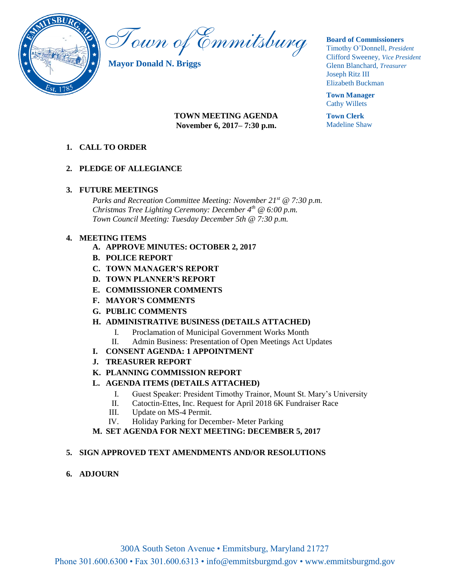

Town of Emmitsburg

**Mayor Donald N. Briggs**

## **Board of Commissioners**

Timothy O'Donnell, *President*  Clifford Sweeney, *Vice President*  Glenn Blanchard, *Treasurer*  Joseph Ritz III Elizabeth Buckman

**Town Manager** Cathy Willets

**Town Clerk** Madeline Shaw

# **TOWN MEETING AGENDA November 6, 2017– 7:30 p.m.**

# **1. CALL TO ORDER**

# **2. PLEDGE OF ALLEGIANCE**

## **3. FUTURE MEETINGS**

*Parks and Recreation Committee Meeting: November 21st @ 7:30 p.m. Christmas Tree Lighting Ceremony: December 4th @ 6:00 p.m. Town Council Meeting: Tuesday December 5th @ 7:30 p.m.*

## **4. MEETING ITEMS**

- **A. APPROVE MINUTES: OCTOBER 2, 2017**
- **B. POLICE REPORT**
- **C. TOWN MANAGER'S REPORT**
- **D. TOWN PLANNER'S REPORT**
- **E. COMMISSIONER COMMENTS**
- **F. MAYOR'S COMMENTS**
- **G. PUBLIC COMMENTS**

# **H. ADMINISTRATIVE BUSINESS (DETAILS ATTACHED)**

- I. Proclamation of Municipal Government Works Month
- II. Admin Business: Presentation of Open Meetings Act Updates
- **I. CONSENT AGENDA: 1 APPOINTMENT**
- **J. TREASURER REPORT**
- **K. PLANNING COMMISSION REPORT**
- **L. AGENDA ITEMS (DETAILS ATTACHED)**
	- I. Guest Speaker: President Timothy Trainor, Mount St. Mary's University
	- II. Catoctin-Ettes, Inc. Request for April 2018 6K Fundraiser Race
	- III. Update on MS-4 Permit.
	- IV. Holiday Parking for December- Meter Parking

# **M. SET AGENDA FOR NEXT MEETING: DECEMBER 5, 2017**

# **5. SIGN APPROVED TEXT AMENDMENTS AND/OR RESOLUTIONS**

**6. ADJOURN**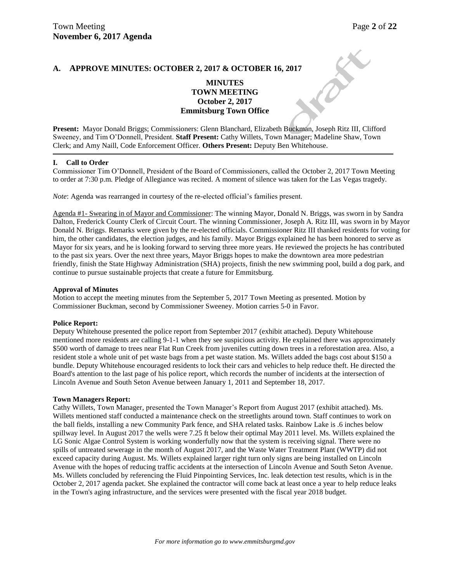## **A. APPROVE MINUTES: OCTOBER 2, 2017 & OCTOBER 16, 2017**

## **MINUTES TOWN MEETING October 2, 2017 Emmitsburg Town Office**

**Present:** Mayor Donald Briggs; Commissioners: Glenn Blanchard, Elizabeth Buckman, Joseph Ritz III, Clifford Sweeney, and Tim O'Donnell, President. **Staff Present:** Cathy Willets, Town Manager; Madeline Shaw, Town Clerk; and Amy Naill, Code Enforcement Officer. **Others Present:** Deputy Ben Whitehouse.

#### **I. Call to Order**

Commissioner Tim O'Donnell, President of the Board of Commissioners, called the October 2, 2017 Town Meeting to order at 7:30 p.m. Pledge of Allegiance was recited. A moment of silence was taken for the Las Vegas tragedy.

*Note*: Agenda was rearranged in courtesy of the re-elected official's families present.

Agenda #1- Swearing in of Mayor and Commissioner: The winning Mayor, Donald N. Briggs, was sworn in by Sandra Dalton, Frederick County Clerk of Circuit Court. The winning Commissioner, Joseph A. Ritz III, was sworn in by Mayor Donald N. Briggs. Remarks were given by the re-elected officials. Commissioner Ritz III thanked residents for voting for him, the other candidates, the election judges, and his family. Mayor Briggs explained he has been honored to serve as Mayor for six years, and he is looking forward to serving three more years. He reviewed the projects he has contributed to the past six years. Over the next three years, Mayor Briggs hopes to make the downtown area more pedestrian friendly, finish the State Highway Administration (SHA) projects, finish the new swimming pool, build a dog park, and continue to pursue sustainable projects that create a future for Emmitsburg.

#### **Approval of Minutes**

Motion to accept the meeting minutes from the September 5, 2017 Town Meeting as presented. Motion by Commissioner Buckman, second by Commissioner Sweeney. Motion carries 5-0 in Favor.

#### **Police Report:**

Deputy Whitehouse presented the police report from September 2017 (exhibit attached). Deputy Whitehouse mentioned more residents are calling 9-1-1 when they see suspicious activity. He explained there was approximately \$500 worth of damage to trees near Flat Run Creek from juveniles cutting down trees in a reforestation area. Also, a resident stole a whole unit of pet waste bags from a pet waste station. Ms. Willets added the bags cost about \$150 a bundle. Deputy Whitehouse encouraged residents to lock their cars and vehicles to help reduce theft. He directed the Board's attention to the last page of his police report, which records the number of incidents at the intersection of Lincoln Avenue and South Seton Avenue between January 1, 2011 and September 18, 2017.

#### **Town Managers Report:**

Cathy Willets, Town Manager, presented the Town Manager's Report from August 2017 (exhibit attached). Ms. Willets mentioned staff conducted a maintenance check on the streetlights around town. Staff continues to work on the ball fields, installing a new Community Park fence, and SHA related tasks. Rainbow Lake is .6 inches below spillway level. In August 2017 the wells were 7.25 ft below their optimal May 2011 level. Ms. Willets explained the LG Sonic Algae Control System is working wonderfully now that the system is receiving signal. There were no spills of untreated sewerage in the month of August 2017, and the Waste Water Treatment Plant (WWTP) did not exceed capacity during August. Ms. Willets explained larger right turn only signs are being installed on Lincoln Avenue with the hopes of reducing traffic accidents at the intersection of Lincoln Avenue and South Seton Avenue. Ms. Willets concluded by referencing the Fluid Pinpointing Services, Inc. leak detection test results, which is in the October 2, 2017 agenda packet. She explained the contractor will come back at least once a year to help reduce leaks in the Town's aging infrastructure, and the services were presented with the fiscal year 2018 budget.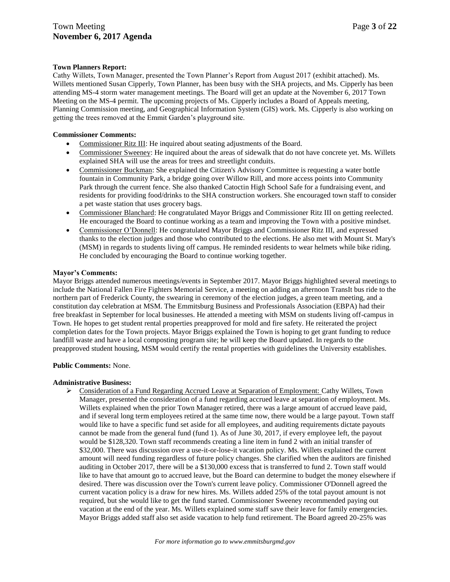## **Town Planners Report:**

Cathy Willets, Town Manager, presented the Town Planner's Report from August 2017 (exhibit attached). Ms. Willets mentioned Susan Cipperly, Town Planner, has been busy with the SHA projects, and Ms. Cipperly has been attending MS-4 storm water management meetings. The Board will get an update at the November 6, 2017 Town Meeting on the MS-4 permit. The upcoming projects of Ms. Cipperly includes a Board of Appeals meeting, Planning Commission meeting, and Geographical Information System (GIS) work. Ms. Cipperly is also working on getting the trees removed at the Emmit Garden's playground site.

#### **Commissioner Comments:**

- Commissioner Ritz III: He inquired about seating adjustments of the Board.
- Commissioner Sweeney: He inquired about the areas of sidewalk that do not have concrete yet. Ms. Willets explained SHA will use the areas for trees and streetlight conduits.
- Commissioner Buckman: She explained the Citizen's Advisory Committee is requesting a water bottle fountain in Community Park, a bridge going over Willow Rill, and more access points into Community Park through the current fence. She also thanked Catoctin High School Safe for a fundraising event, and residents for providing food/drinks to the SHA construction workers. She encouraged town staff to consider a pet waste station that uses grocery bags.
- Commissioner Blanchard: He congratulated Mayor Briggs and Commissioner Ritz III on getting reelected. He encouraged the Board to continue working as a team and improving the Town with a positive mindset.
- Commissioner O'Donnell: He congratulated Mayor Briggs and Commissioner Ritz III, and expressed thanks to the election judges and those who contributed to the elections. He also met with Mount St. Mary's (MSM) in regards to students living off campus. He reminded residents to wear helmets while bike riding. He concluded by encouraging the Board to continue working together.

## **Mayor's Comments:**

Mayor Briggs attended numerous meetings/events in September 2017. Mayor Briggs highlighted several meetings to include the National Fallen Fire Fighters Memorial Service, a meeting on adding an afternoon TransIt bus ride to the northern part of Frederick County, the swearing in ceremony of the election judges, a green team meeting, and a constitution day celebration at MSM. The Emmitsburg Business and Professionals Association (EBPA) had their free breakfast in September for local businesses. He attended a meeting with MSM on students living off-campus in Town. He hopes to get student rental properties preapproved for mold and fire safety. He reiterated the project completion dates for the Town projects. Mayor Briggs explained the Town is hoping to get grant funding to reduce landfill waste and have a local composting program site; he will keep the Board updated. In regards to the preapproved student housing, MSM would certify the rental properties with guidelines the University establishes.

#### **Public Comments:** None.

## **Administrative Business:**

 Consideration of a Fund Regarding Accrued Leave at Separation of Employment: Cathy Willets, Town Manager, presented the consideration of a fund regarding accrued leave at separation of employment. Ms. Willets explained when the prior Town Manager retired, there was a large amount of accrued leave paid, and if several long term employees retired at the same time now, there would be a large payout. Town staff would like to have a specific fund set aside for all employees, and auditing requirements dictate payouts cannot be made from the general fund (fund 1). As of June 30, 2017, if every employee left, the payout would be \$128,320. Town staff recommends creating a line item in fund 2 with an initial transfer of \$32,000. There was discussion over a use-it-or-lose-it vacation policy. Ms. Willets explained the current amount will need funding regardless of future policy changes. She clarified when the auditors are finished auditing in October 2017, there will be a \$130,000 excess that is transferred to fund 2. Town staff would like to have that amount go to accrued leave, but the Board can determine to budget the money elsewhere if desired. There was discussion over the Town's current leave policy. Commissioner O'Donnell agreed the current vacation policy is a draw for new hires. Ms. Willets added 25% of the total payout amount is not required, but she would like to get the fund started. Commissioner Sweeney recommended paying out vacation at the end of the year. Ms. Willets explained some staff save their leave for family emergencies. Mayor Briggs added staff also set aside vacation to help fund retirement. The Board agreed 20-25% was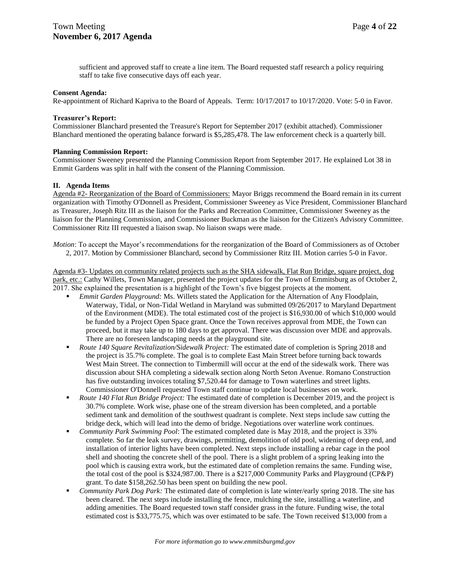sufficient and approved staff to create a line item. The Board requested staff research a policy requiring staff to take five consecutive days off each year.

#### **Consent Agenda:**

Re-appointment of Richard Kapriva to the Board of Appeals. Term: 10/17/2017 to 10/17/2020. Vote: 5-0 in Favor.

#### **Treasurer's Report:**

Commissioner Blanchard presented the Treasure's Report for September 2017 (exhibit attached). Commissioner Blanchard mentioned the operating balance forward is \$5,285,478. The law enforcement check is a quarterly bill.

## **Planning Commission Report:**

Commissioner Sweeney presented the Planning Commission Report from September 2017. He explained Lot 38 in Emmit Gardens was split in half with the consent of the Planning Commission.

## **II. Agenda Items**

Agenda #2- Reorganization of the Board of Commissioners: Mayor Briggs recommend the Board remain in its current organization with Timothy O'Donnell as President, Commissioner Sweeney as Vice President, Commissioner Blanchard as Treasurer, Joseph Ritz III as the liaison for the Parks and Recreation Committee, Commissioner Sweeney as the liaison for the Planning Commission, and Commissioner Buckman as the liaison for the Citizen's Advisory Committee. Commissioner Ritz III requested a liaison swap. No liaison swaps were made.

*Motion*: To accept the Mayor's recommendations for the reorganization of the Board of Commissioners as of October 2, 2017. Motion by Commissioner Blanchard, second by Commissioner Ritz III. Motion carries 5-0 in Favor.

Agenda #3- Updates on community related projects such as the SHA sidewalk, Flat Run Bridge, square project, dog park, etc.: Cathy Willets, Town Manager, presented the project updates for the Town of Emmitsburg as of October 2, 2017. She explained the presentation is a highlight of the Town's five biggest projects at the moment.

- *Emmit Garden Playground:* Ms. Willets stated the Application for the Alternation of Any Floodplain, Waterway, Tidal, or Non-Tidal Wetland in Maryland was submitted 09/26/2017 to Maryland Department of the Environment (MDE). The total estimated cost of the project is \$16,930.00 of which \$10,000 would be funded by a Project Open Space grant. Once the Town receives approval from MDE, the Town can proceed, but it may take up to 180 days to get approval. There was discussion over MDE and approvals. There are no foreseen landscaping needs at the playground site.
- *Route 140 Square Revitalization/Sidewalk Project:* The estimated date of completion is Spring 2018 and the project is 35.7% complete. The goal is to complete East Main Street before turning back towards West Main Street. The connection to Timbermill will occur at the end of the sidewalk work. There was discussion about SHA completing a sidewalk section along North Seton Avenue. Romano Construction has five outstanding invoices totaling \$7,520.44 for damage to Town waterlines and street lights. Commissioner O'Donnell requested Town staff continue to update local businesses on work.
- *Route 140 Flat Run Bridge Project:* The estimated date of completion is December 2019, and the project is 30.7% complete. Work wise, phase one of the stream diversion has been completed, and a portable sediment tank and demolition of the southwest quadrant is complete. Next steps include saw cutting the bridge deck, which will lead into the demo of bridge. Negotiations over waterline work continues.
- *Community Park Swimming Pool*: The estimated completed date is May 2018, and the project is 33% complete. So far the leak survey, drawings, permitting, demolition of old pool, widening of deep end, and installation of interior lights have been completed. Next steps include installing a rebar cage in the pool shell and shooting the concrete shell of the pool. There is a slight problem of a spring leaking into the pool which is causing extra work, but the estimated date of completion remains the same. Funding wise, the total cost of the pool is \$324,987.00. There is a \$217,000 Community Parks and Playground (CP&P) grant. To date \$158,262.50 has been spent on building the new pool.
- *Community Park Dog Park:* The estimated date of completion is late winter/early spring 2018. The site has been cleared. The next steps include installing the fence, mulching the site, installing a waterline, and adding amenities. The Board requested town staff consider grass in the future. Funding wise, the total estimated cost is \$33,775.75, which was over estimated to be safe. The Town received \$13,000 from a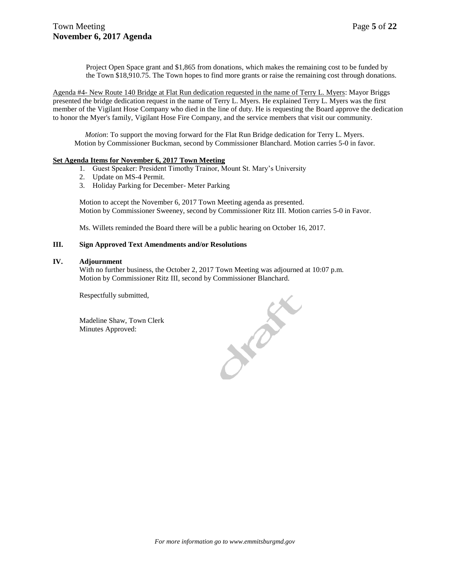Project Open Space grant and \$1,865 from donations, which makes the remaining cost to be funded by the Town \$18,910.75. The Town hopes to find more grants or raise the remaining cost through donations.

Agenda #4- New Route 140 Bridge at Flat Run dedication requested in the name of Terry L. Myers: Mayor Briggs presented the bridge dedication request in the name of Terry L. Myers. He explained Terry L. Myers was the first member of the Vigilant Hose Company who died in the line of duty. He is requesting the Board approve the dedication to honor the Myer's family, Vigilant Hose Fire Company, and the service members that visit our community.

*Motion*: To support the moving forward for the Flat Run Bridge dedication for Terry L. Myers. Motion by Commissioner Buckman, second by Commissioner Blanchard. Motion carries 5-0 in favor.

#### **Set Agenda Items for November 6, 2017 Town Meeting**

- 1. Guest Speaker: President Timothy Trainor, Mount St. Mary's University
- 2. Update on MS-4 Permit.
- 3. Holiday Parking for December- Meter Parking

Motion to accept the November 6, 2017 Town Meeting agenda as presented. Motion by Commissioner Sweeney, second by Commissioner Ritz III. Motion carries 5-0 in Favor.

Ms. Willets reminded the Board there will be a public hearing on October 16, 2017.

#### **III. Sign Approved Text Amendments and/or Resolutions**

#### **IV. Adjournment**

With no further business, the October 2, 2017 Town Meeting was adjourned at 10:07 p.m. Motion by Commissioner Ritz III, second by Commissioner Blanchard.

Respectfully submitted,

Madeline Shaw, Town Clerk Minutes Approved:

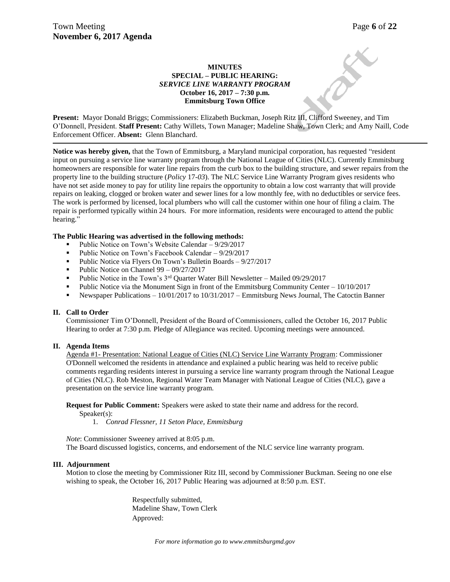## **MINUTES SPECIAL – PUBLIC HEARING:**  *SERVICE LINE WARRANTY PROGRAM*  **October 16, 2017 – 7:30 p.m. Emmitsburg Town Office**

**Present:** Mayor Donald Briggs; Commissioners: Elizabeth Buckman, Joseph Ritz III, Clifford Sweeney, and Tim O'Donnell, President. **Staff Present:** Cathy Willets, Town Manager; Madeline Shaw, Town Clerk; and Amy Naill, Code Enforcement Officer. **Absent:** Glenn Blanchard.

**Notice was hereby given,** that the Town of Emmitsburg, a Maryland municipal corporation, has requested "resident input on pursuing a service line warranty program through the National League of Cities (NLC). Currently Emmitsburg homeowners are responsible for water line repairs from the curb box to the building structure, and sewer repairs from the property line to the building structure (*Policy* 17*-03*). The [NLC Service Line Warranty Program](http://www.utilitysp.net/) gives residents who have not set aside money to pay for utility line repairs the opportunity to obtain a low cost warranty that will provide repairs on leaking, clogged or broken water and sewer lines for a low monthly fee, with no deductibles or service fees. The work is performed by licensed, local plumbers who will call the customer within one hour of filing a claim. The repair is performed typically within 24 hours. For more information, residents were encouraged to attend the public hearing."

## **The Public Hearing was advertised in the following methods:**

- Public Notice on Town's Website Calendar 9/29/2017
- Public Notice on Town's Facebook Calendar 9/29/2017
- **Public Notice via Flyers On Town's Bulletin Boards 9/27/2017**
- Public Notice on Channel  $99 09/27/2017$
- Public Notice in the Town's  $3<sup>rd</sup>$  Quarter Water Bill Newsletter Mailed 09/29/2017
- Public Notice via the Monument Sign in front of the Emmitsburg Community Center  $-10/10/2017$
- Newspaper Publications 10/01/2017 to 10/31/2017 Emmitsburg News Journal, The Catoctin Banner

#### **II. Call to Order**

Commissioner Tim O'Donnell, President of the Board of Commissioners, called the October 16, 2017 Public Hearing to order at 7:30 p.m. Pledge of Allegiance was recited. Upcoming meetings were announced.

#### **II. Agenda Items**

Agenda #1- Presentation: National League of Cities (NLC) Service Line Warranty Program: Commissioner O'Donnell welcomed the residents in attendance and explained a public hearing was held to receive public comments regarding residents interest in pursuing a service line warranty program through the National League of Cities (NLC). Rob Meston, Regional Water Team Manager with National League of Cities (NLC), gave a presentation on the service line warranty program.

## **Request for Public Comment:** Speakers were asked to state their name and address for the record.

Speaker(s):

1. *Conrad Flessner, 11 Seton Place, Emmitsburg*

*Note*: Commissioner Sweeney arrived at 8:05 p.m. The Board discussed logistics, concerns, and endorsement of the NLC service line warranty program.

#### **III. Adjournment**

Motion to close the meeting by Commissioner Ritz III, second by Commissioner Buckman. Seeing no one else wishing to speak, the October 16, 2017 Public Hearing was adjourned at 8:50 p.m. EST.

> Respectfully submitted, Madeline Shaw, Town Clerk Approved: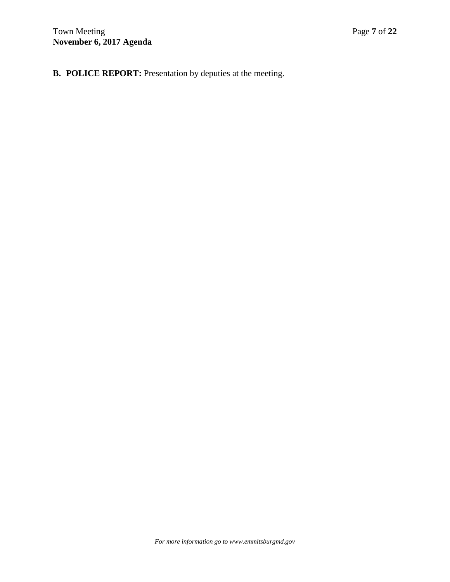**B. POLICE REPORT:** Presentation by deputies at the meeting.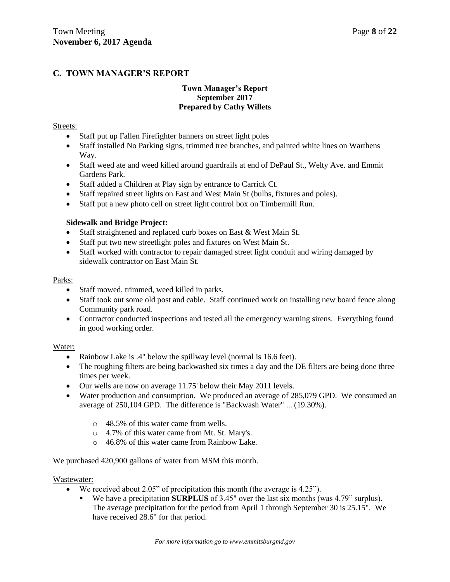# **C. TOWN MANAGER'S REPORT**

## **Town Manager's Report September 2017 Prepared by Cathy Willets**

## Streets:

- Staff put up Fallen Firefighter banners on street light poles
- Staff installed No Parking signs, trimmed tree branches, and painted white lines on Warthens Way.
- Staff weed ate and weed killed around guardrails at end of DePaul St., Welty Ave. and Emmit Gardens Park.
- Staff added a Children at Play sign by entrance to Carrick Ct.
- Staff repaired street lights on East and West Main St (bulbs, fixtures and poles).
- Staff put a new photo cell on street light control box on Timbermill Run.

## **Sidewalk and Bridge Project:**

- Staff straightened and replaced curb boxes on East & West Main St.
- Staff put two new streetlight poles and fixtures on West Main St.
- Staff worked with contractor to repair damaged street light conduit and wiring damaged by sidewalk contractor on East Main St.

## Parks:

- Staff mowed, trimmed, weed killed in parks.
- Staff took out some old post and cable. Staff continued work on installing new board fence along Community park road.
- Contractor conducted inspections and tested all the emergency warning sirens. Everything found in good working order.

## Water:

- Rainbow Lake is .4" below the spillway level (normal is 16.6 feet).
- The roughing filters are being backwashed six times a day and the DE filters are being done three times per week.
- Our wells are now on average 11.75' below their May 2011 levels.
- Water production and consumption. We produced an average of 285,079 GPD. We consumed an average of 250,104 GPD. The difference is "Backwash Water" ... (19.30%).
	- o 48.5% of this water came from wells.
	- o 4.7% of this water came from Mt. St. Mary's.
	- o 46.8% of this water came from Rainbow Lake.

We purchased 420,900 gallons of water from MSM this month.

## Wastewater:

- We received about 2.05" of precipitation this month (the average is 4.25").
	- We have a precipitation **SURPLUS** of 3.45" over the last six months (was 4.79" surplus). The average precipitation for the period from April 1 through September 30 is 25.15". We have received 28.6" for that period.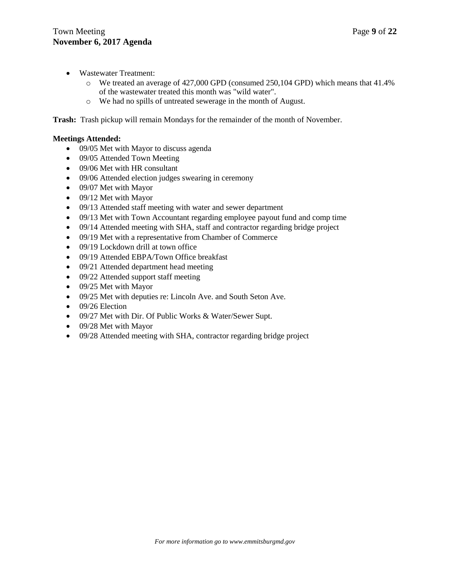- Wastewater Treatment:
	- o We treated an average of 427,000 GPD (consumed 250,104 GPD) which means that 41.4% of the wastewater treated this month was "wild water".
	- o We had no spills of untreated sewerage in the month of August.

**Trash:** Trash pickup will remain Mondays for the remainder of the month of November.

## **Meetings Attended:**

- 09/05 Met with Mayor to discuss agenda
- 09/05 Attended Town Meeting
- 09/06 Met with HR consultant
- 09/06 Attended election judges swearing in ceremony
- 09/07 Met with Mayor
- 09/12 Met with Mayor
- 09/13 Attended staff meeting with water and sewer department
- 09/13 Met with Town Accountant regarding employee payout fund and comp time
- 09/14 Attended meeting with SHA, staff and contractor regarding bridge project
- 09/19 Met with a representative from Chamber of Commerce
- 09/19 Lockdown drill at town office
- 09/19 Attended EBPA/Town Office breakfast
- 09/21 Attended department head meeting
- 09/22 Attended support staff meeting
- 09/25 Met with Mayor
- 09/25 Met with deputies re: Lincoln Ave. and South Seton Ave.
- $\bullet$  09/26 Election
- 09/27 Met with Dir. Of Public Works & Water/Sewer Supt.
- 09/28 Met with Mayor
- 09/28 Attended meeting with SHA, contractor regarding bridge project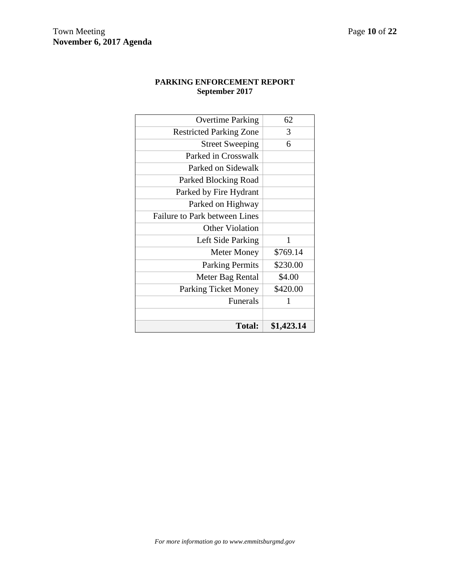# **PARKING ENFORCEMENT REPORT September 2017**

| \$420.00<br>1 |
|---------------|
|               |
|               |
|               |
| \$4.00        |
| \$230.00      |
| \$769.14      |
| 1             |
|               |
|               |
|               |
|               |
|               |
|               |
|               |
| 6             |
| 3             |
| 62            |
|               |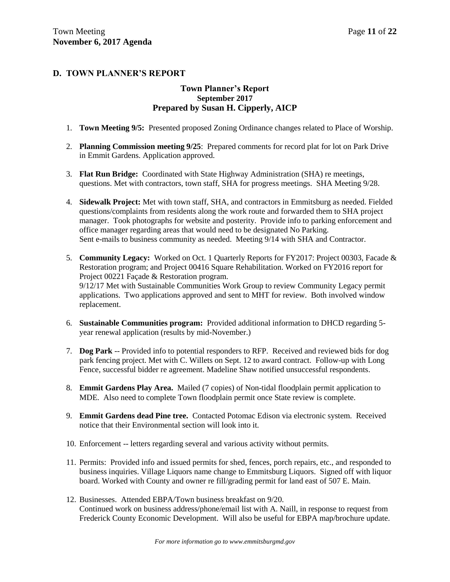# **D. TOWN PLANNER'S REPORT**

## **Town Planner's Report September 2017 Prepared by Susan H. Cipperly, AICP**

- 1. **Town Meeting 9/5:** Presented proposed Zoning Ordinance changes related to Place of Worship.
- 2. **Planning Commission meeting 9/25**: Prepared comments for record plat for lot on Park Drive in Emmit Gardens. Application approved.
- 3. **Flat Run Bridge:** Coordinated with State Highway Administration (SHA) re meetings, questions. Met with contractors, town staff, SHA for progress meetings. SHA Meeting 9/28.
- 4. **Sidewalk Project:** Met with town staff, SHA, and contractors in Emmitsburg as needed. Fielded questions/complaints from residents along the work route and forwarded them to SHA project manager. Took photographs for website and posterity. Provide info to parking enforcement and office manager regarding areas that would need to be designated No Parking. Sent e-mails to business community as needed. Meeting 9/14 with SHA and Contractor.
- 5. **Community Legacy:** Worked on Oct. 1 Quarterly Reports for FY2017: Project 00303, Facade & Restoration program; and Project 00416 Square Rehabilitation. Worked on FY2016 report for Project 00221 Façade & Restoration program. 9/12/17 Met with Sustainable Communities Work Group to review Community Legacy permit applications. Two applications approved and sent to MHT for review. Both involved window replacement.
- 6. **Sustainable Communities program:** Provided additional information to DHCD regarding 5 year renewal application (results by mid-November.)
- 7. **Dog Park** -- Provided info to potential responders to RFP. Received and reviewed bids for dog park fencing project. Met with C. Willets on Sept. 12 to award contract. Follow-up with Long Fence, successful bidder re agreement. Madeline Shaw notified unsuccessful respondents.
- 8. **Emmit Gardens Play Area.** Mailed (7 copies) of Non-tidal floodplain permit application to MDE. Also need to complete Town floodplain permit once State review is complete.
- 9. **Emmit Gardens dead Pine tree.** Contacted Potomac Edison via electronic system. Received notice that their Environmental section will look into it.
- 10. Enforcement -- letters regarding several and various activity without permits.
- 11. Permits: Provided info and issued permits for shed, fences, porch repairs, etc., and responded to business inquiries. Village Liquors name change to Emmitsburg Liquors. Signed off with liquor board. Worked with County and owner re fill/grading permit for land east of 507 E. Main.
- 12. Businesses. Attended EBPA/Town business breakfast on 9/20. Continued work on business address/phone/email list with A. Naill, in response to request from Frederick County Economic Development. Will also be useful for EBPA map/brochure update.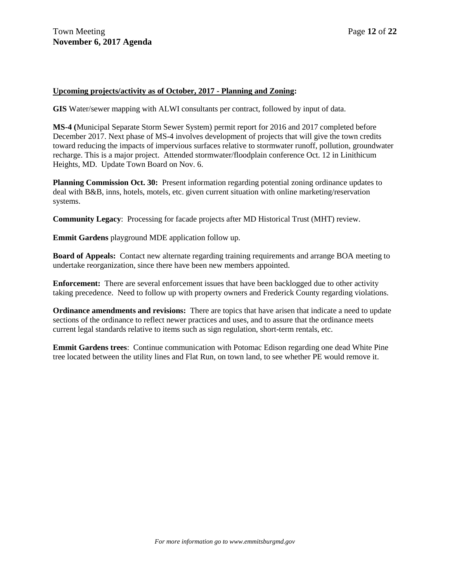## **Upcoming projects/activity as of October, 2017 - Planning and Zoning:**

**GIS** Water/sewer mapping with ALWI consultants per contract, followed by input of data.

**MS-4 (**Municipal Separate Storm Sewer System) permit report for 2016 and 2017 completed before December 2017. Next phase of MS-4 involves development of projects that will give the town credits toward reducing the impacts of impervious surfaces relative to stormwater runoff, pollution, groundwater recharge. This is a major project. Attended stormwater/floodplain conference Oct. 12 in Linithicum Heights, MD. Update Town Board on Nov. 6.

**Planning Commission Oct. 30:** Present information regarding potential zoning ordinance updates to deal with B&B, inns, hotels, motels, etc. given current situation with online marketing/reservation systems.

**Community Legacy**: Processing for facade projects after MD Historical Trust (MHT) review.

**Emmit Gardens** playground MDE application follow up.

**Board of Appeals:** Contact new alternate regarding training requirements and arrange BOA meeting to undertake reorganization, since there have been new members appointed.

**Enforcement:** There are several enforcement issues that have been backlogged due to other activity taking precedence. Need to follow up with property owners and Frederick County regarding violations.

**Ordinance amendments and revisions:** There are topics that have arisen that indicate a need to update sections of the ordinance to reflect newer practices and uses, and to assure that the ordinance meets current legal standards relative to items such as sign regulation, short-term rentals, etc.

**Emmit Gardens trees**: Continue communication with Potomac Edison regarding one dead White Pine tree located between the utility lines and Flat Run, on town land, to see whether PE would remove it.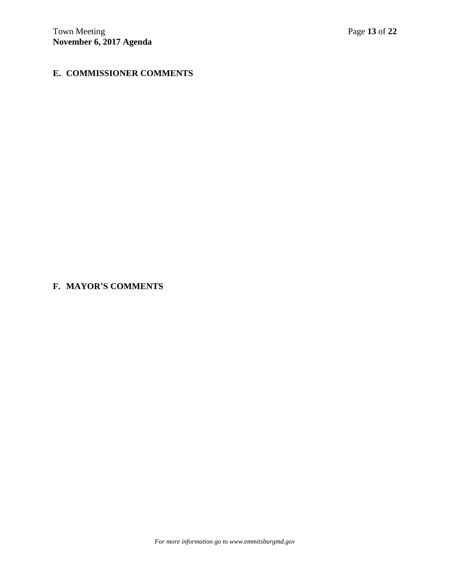# **E. COMMISSIONER COMMENTS**

# **F. MAYOR'S COMMENTS**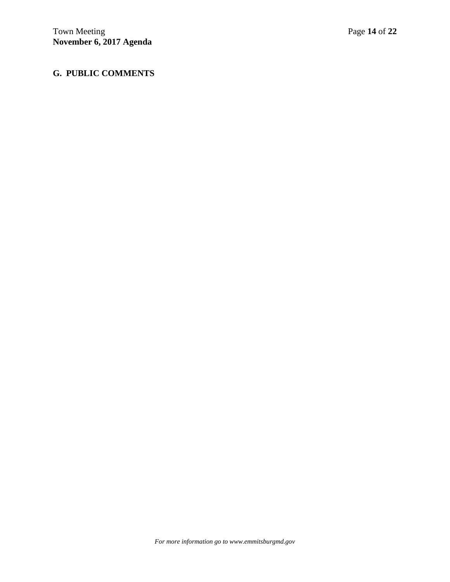# **G. PUBLIC COMMENTS**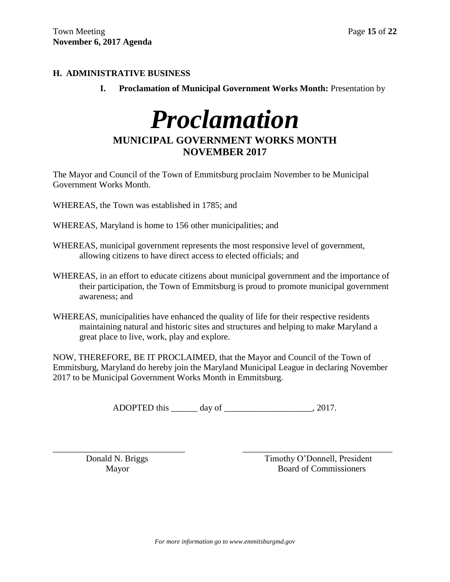# **H. ADMINISTRATIVE BUSINESS**

**I.** Proclamation of Municipal Government Works Month: Presentation by

# *Proclamation*

# **MUNICIPAL GOVERNMENT WORKS MONTH NOVEMBER 2017**

The Mayor and Council of the Town of Emmitsburg proclaim November to be Municipal Government Works Month.

WHEREAS, the Town was established in 1785; and

WHEREAS, Maryland is home to 156 other municipalities; and

- WHEREAS, municipal government represents the most responsive level of government, allowing citizens to have direct access to elected officials; and
- WHEREAS, in an effort to educate citizens about municipal government and the importance of their participation, the Town of Emmitsburg is proud to promote municipal government awareness; and
- WHEREAS, municipalities have enhanced the quality of life for their respective residents maintaining natural and historic sites and structures and helping to make Maryland a great place to live, work, play and explore.

NOW, THEREFORE, BE IT PROCLAIMED, that the Mayor and Council of the Town of Emmitsburg, Maryland do hereby join the Maryland Municipal League in declaring November 2017 to be Municipal Government Works Month in Emmitsburg.

ADOPTED this \_\_\_\_\_\_\_ day of \_\_\_\_\_\_\_\_\_\_\_\_\_\_\_\_\_\_\_\_\_, 2017.

\_\_\_\_\_\_\_\_\_\_\_\_\_\_\_\_\_\_\_\_\_\_\_\_\_\_\_\_\_\_ \_\_\_\_\_\_\_\_\_\_\_\_\_\_\_\_\_\_\_\_\_\_\_\_\_\_\_\_\_\_\_\_\_\_ Donald N. Briggs Timothy O'Donnell, President Mayor Board of Commissioners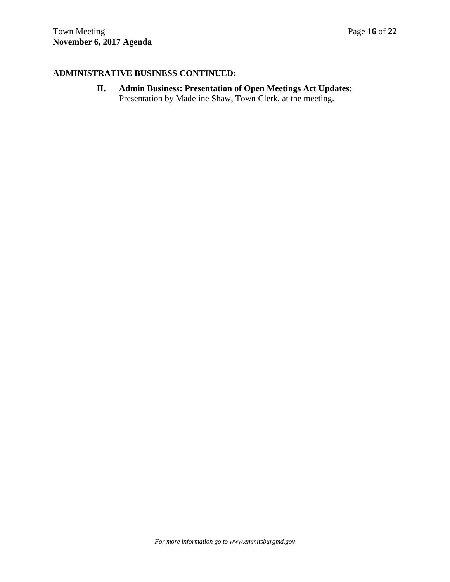# **ADMINISTRATIVE BUSINESS CONTINUED:**

**II. Admin Business: Presentation of Open Meetings Act Updates:** Presentation by Madeline Shaw, Town Clerk, at the meeting.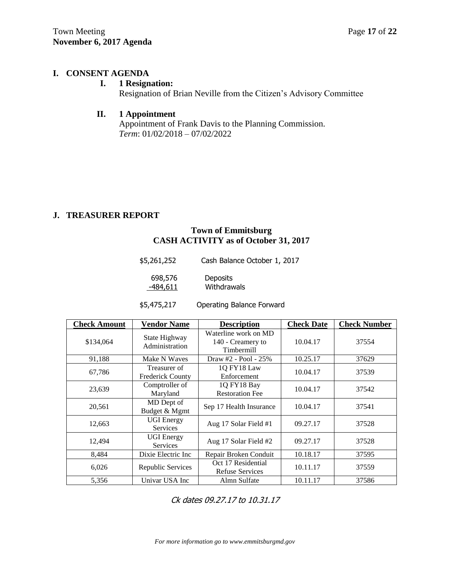# **I. CONSENT AGENDA**

# **I. 1 Resignation:**

Resignation of Brian Neville from the Citizen's Advisory Committee

# **II. 1 Appointment**

Appointment of Frank Davis to the Planning Commission. *Term*: 01/02/2018 – 07/02/2022

# **J. TREASURER REPORT**

# **Town of Emmitsburg CASH ACTIVITY as of October 31, 2017**

| \$5,261,252 | Cash Balance October 1, 2017 |
|-------------|------------------------------|
| 698,576     | <b>Deposits</b>              |
| $-484,611$  | Withdrawals                  |

| \$5,475,217 | Operating Balance Forward |
|-------------|---------------------------|
|-------------|---------------------------|

| <b>Check Amount</b> | <b>Vendor Name</b>                      | <b>Description</b>                                      | <b>Check Date</b> | <b>Check Number</b> |
|---------------------|-----------------------------------------|---------------------------------------------------------|-------------------|---------------------|
| \$134,064           | State Highway<br>Administration         | Waterline work on MD<br>140 - Creamery to<br>Timbermill | 10.04.17          | 37554               |
| 91,188              | Make N Waves                            | Draw #2 - Pool - 25%                                    | 10.25.17          | 37629               |
| 67,786              | Treasurer of<br><b>Frederick County</b> | 1Q FY18 Law<br>Enforcement                              | 10.04.17          | 37539               |
| 23,639              | Comptroller of<br>Maryland              | 1Q FY18 Bay<br><b>Restoration Fee</b>                   | 10.04.17          | 37542               |
| 20,561              | MD Dept of<br>Budget & Mgmt             | Sep 17 Health Insurance                                 | 10.04.17          | 37541               |
| 12,663              | <b>UGI</b> Energy<br><b>Services</b>    | Aug 17 Solar Field #1                                   | 09.27.17          | 37528               |
| 12,494              | <b>UGI</b> Energy<br><b>Services</b>    | Aug 17 Solar Field #2                                   | 09.27.17          | 37528               |
| 8,484               | Dixie Electric Inc                      | Repair Broken Conduit                                   | 10.18.17          | 37595               |
| 6,026               | Republic Services                       | Oct 17 Residential<br><b>Refuse Services</b>            | 10.11.17          | 37559               |
| 5,356               | Univar USA Inc                          | Almn Sulfate                                            | 10.11.17          | 37586               |

Ck dates 09.27.17 to 10.31.17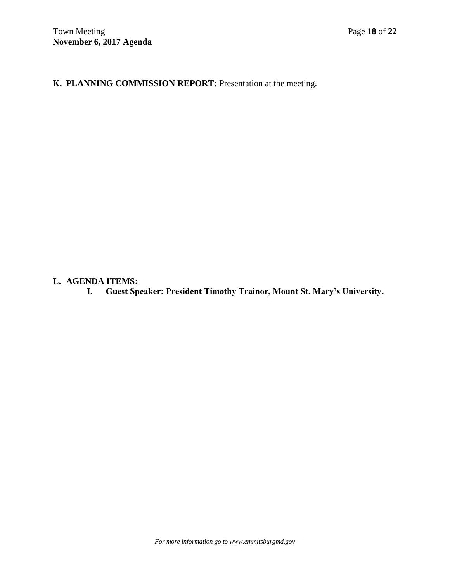**K. PLANNING COMMISSION REPORT:** Presentation at the meeting.

# **L. AGENDA ITEMS:**

**I. Guest Speaker: President Timothy Trainor, Mount St. Mary's University.**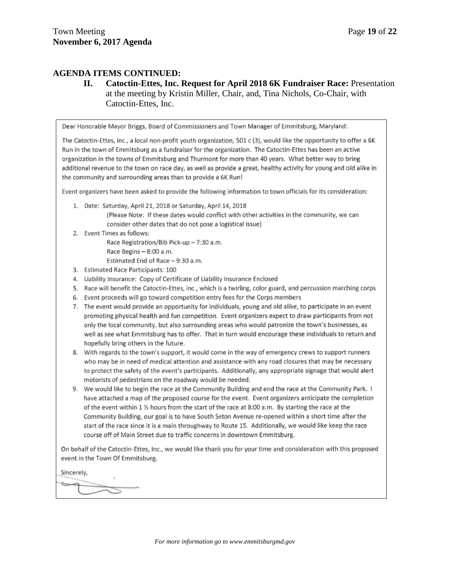# **AGENDA ITEMS CONTINUED:**

**II. Catoctin-Ettes, Inc. Request for April 2018 6K Fundraiser Race:** Presentation at the meeting by Kristin Miller, Chair, and, Tina Nichols, Co-Chair, with Catoctin-Ettes, Inc.

Dear Honorable Mayor Briggs, Board of Commissioners and Town Manager of Emmitsburg, Maryland:

The Catoctin-Ettes, inc., a local non-profit youth organization, 501 c (3), would like the opportunity to offer a 6K Run in the town of Emmitsburg as a fundraiser for the organization. The Catoctin-Ettes has been an active organization in the towns of Emmitsburg and Thurmont for more than 40 years. What better way to bring additional revenue to the town on race day, as well as provide a great, healthy activity for young and old alike in the community and surrounding areas than to provide a 6K Run!

Event organizers have been asked to provide the following information to town officials for its consideration:

- 1. Date: Saturday, April 21, 2018 or Saturday, April 14, 2018 (Please Note: If these dates would conflict with other activities in the community, we can consider other dates that do not pose a logistical issue)
- 2. Event Times as follows:

Race Registration/Bib Pick-up - 7:30 a.m. Race Begins - 8:00 a.m.

Estimated End of Race - 9:30 a.m.

- 3. Estimated Race Participants: 100
- 4. Liability Insurance: Copy of Certificate of Liability Insurance Enclosed
- 5. Race will benefit the Catoctin-Ettes, inc., which is a twirling, color guard, and percussion marching corps
- 6. Event proceeds will go toward competition entry fees for the Corps members
- 7. The event would provide an opportunity for individuals, young and old alike, to participate in an event promoting physical health and fun competition. Event organizers expect to draw participants from not only the local community, but also surrounding areas who would patronize the town's businesses, as well as see what Emmitsburg has to offer. That in turn would encourage these individuals to return and hopefully bring others in the future.
- 8. With regards to the town's support, it would come in the way of emergency crews to support runners who may be in need of medical attention and assistance with any road closures that may be necessary to protect the safety of the event's participants. Additionally, any appropriate signage that would alert motorists of pedestrians on the roadway would be needed.
- 9. We would like to begin the race at the Community Building and end the race at the Community Park. I have attached a map of the proposed course for the event. Event organizers anticipate the completion of the event within 1 % hours from the start of the race at 8:00 a.m. By starting the race at the Community Building, our goal is to have South Seton Avenue re-opened within a short time after the start of the race since it is a main throughway to Route 15. Additionally, we would like keep the race course off of Main Street due to traffic concerns in downtown Emmitsburg.

On behalf of the Catoctin-Ettes, Inc., we would like thank you for your time and consideration with this proposed event in the Town Of Emmitsburg.

Sincerely,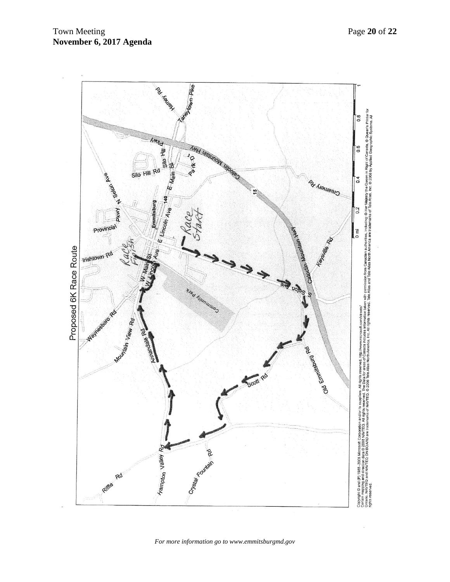

*For more information go to www.emmitsburgmd.gov*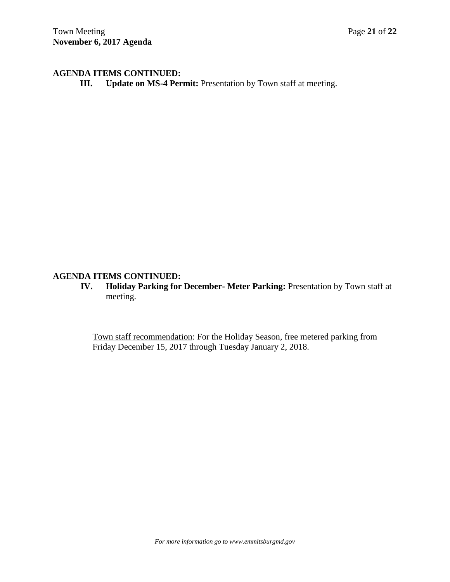# **AGENDA ITEMS CONTINUED:**

**III. Update on MS-4 Permit:** Presentation by Town staff at meeting.

# **AGENDA ITEMS CONTINUED:**

**IV. Holiday Parking for December- Meter Parking:** Presentation by Town staff at meeting.

Town staff recommendation: For the Holiday Season, free metered parking from Friday December 15, 2017 through Tuesday January 2, 2018.